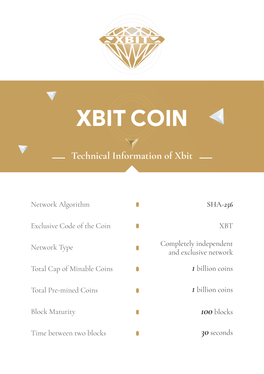

# XBIT COIN

**Technical Information of Xbit**

| Network Algorithm          | $SHA-256$                                       |
|----------------------------|-------------------------------------------------|
| Exclusive Code of the Coin | XBT                                             |
| Network Type               | Completely independent<br>and exclusive network |
| Total Cap of Minable Coins | 1 billion coins                                 |
| Total Pre-mined Coins      | 1 billion coins                                 |
| <b>Block Maturity</b>      | <b>100</b> blocks                               |
| Time between two blocks    | <b>30</b> seconds                               |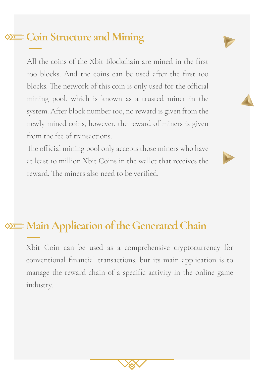#### **Coin Structure and Mining**

All the coins of the Xbit Blockchain are mined in the first 100 blocks. And the coins can be used after the first 100 blocks. The network of this coin is only used for the official mining pool, which is known as a trusted miner in the system. After block number 100, no reward is given from the newly mined coins, however, the reward of miners is given from the fee of transactions.

The official mining pool only accepts those miners who have at least 10 million Xbit Coins in the wallet that receives the reward. The miners also need to be verified.

#### **Main Application of the Generated Chain**

Xbit Coin can be used as a comprehensive cryptocurrency for conventional financial transactions, but its main application is to manage the reward chain of a specific activity in the online game industry.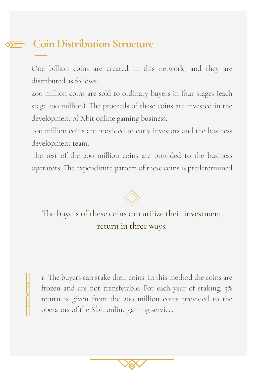### **Coin Distribution Structure**

One billion coins are created in this network, and they are distributed as follows:

400 million coins are sold to ordinary buyers in four stages (each stage 100 million). The proceeds of these coins are invested in the development of Xbit online gaming business.

400 million coins are provided to early investors and the business development team.

The rest of the 200 million coins are provided to the business operators. The expenditure pattern of these coins is predetermined.



The buyers of these coins can utilize their investment return in three ways:

1- The buyers can stake their coins. In this method the coins are frozen and are not transferable. For each year of staking, 5% return is given from the 200 million coins provided to the operators of the Xbit online gaming service.

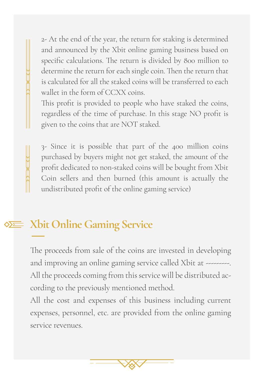2- At the end of the year, the return for staking is determined and announced by the Xbit online gaming business based on specific calculations. The return is divided by 800 million to determine the return for each single coin. Then the return that is calculated for all the staked coins will be transferred to each wallet in the form of CCXX coins.

This profit is provided to people who have staked the coins, regardless of the time of purchase. In this stage NO profit is given to the coins that are NOT staked.

3- Since it is possible that part of the 400 million coins purchased by buyers might not get staked, the amount of the profit dedicated to non-staked coins will be bought from Xbit Coin sellers and then burned (this amount is actually the undistributed profit of the online gaming service)

#### **Xbit Online Gaming Service**

The proceeds from sale of the coins are invested in developing and improving an online gaming service called Xbit at ---------. All the proceeds coming from this service will be distributed according to the previously mentioned method.

All the cost and expenses of this business including current expenses, personnel, etc. are provided from the online gaming service revenues.

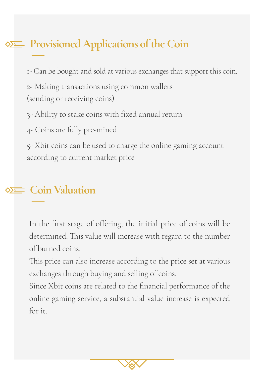#### **Provisioned Applications of the Coin**

1- Can be bought and sold at various exchanges that support this coin.

2- Making transactions using common wallets (sending or receiving coins)

3- Ability to stake coins with fixed annual return

4- Coins are fully pre-mined

5- Xbit coins can be used to charge the online gaming account according to current market price

#### **Coin Valuation**

In the first stage of offering, the initial price of coins will be determined. This value will increase with regard to the number of burned coins.

This price can also increase according to the price set at various exchanges through buying and selling of coins.

Since Xbit coins are related to the financial performance of the online gaming service, a substantial value increase is expected for it.

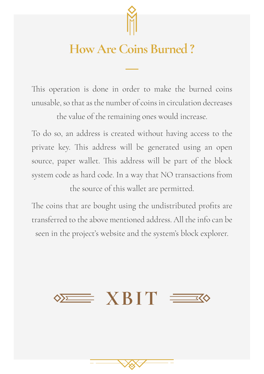

## **How Are Coins Burned ?**

This operation is done in order to make the burned coins unusable, so that as the number of coins in circulation decreases

the value of the remaining ones would increase.

To do so, an address is created without having access to the private key. This address will be generated using an open source, paper wallet. This address will be part of the block system code as hard code. In a way that NO transactions from the source of this wallet are permitted.

The coins that are bought using the undistributed profits are transferred to the above mentioned address. All the info can be seen in the project's website and the system's block explorer.

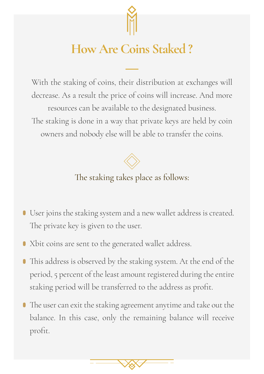

# **How Are Coins Staked ?**

With the staking of coins, their distribution at exchanges will decrease. As a result the price of coins will increase. And more resources can be available to the designated business. The staking is done in a way that private keys are held by coin owners and nobody else will be able to transfer the coins.



The staking takes place as follows:

- User joins the staking system and a new wallet address is created. The private key is given to the user.
- Xbit coins are sent to the generated wallet address.
- This address is observed by the staking system. At the end of the  $\bullet$ period, 5 percent of the least amount registered during the entire staking period will be transferred to the address as profit.
- The user can exit the staking agreement anytime and take out the balance. In this case, only the remaining balance will receive profit.

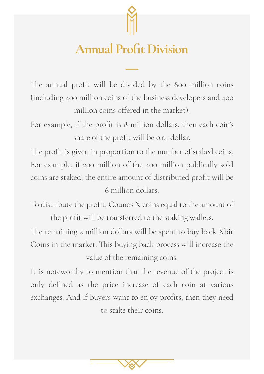

# **Annual Profit Division**

The annual profit will be divided by the 800 million coins (including 400 million coins of the business developers and 400 million coins offered in the market).

For example, if the profit is 8 million dollars, then each coin's share of the profit will be 0.01 dollar.

The profit is given in proportion to the number of staked coins. For example, if 200 million of the 400 million publically sold coins are staked, the entire amount of distributed profit will be 6 million dollars.

To distribute the profit, Counos X coins equal to the amount of the profit will be transferred to the staking wallets.

The remaining 2 million dollars will be spent to buy back Xbit Coins in the market. This buying back process will increase the value of the remaining coins.

It is noteworthy to mention that the revenue of the project is only defined as the price increase of each coin at various exchanges. And if buyers want to enjoy profits, then they need to stake their coins.

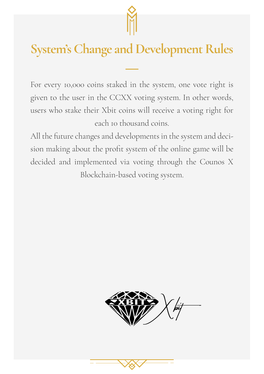

# **System's Change and Development Rules**

For every 10,000 coins staked in the system, one vote right is given to the user in the CCXX voting system. In other words, users who stake their Xbit coins will receive a voting right for each 10 thousand coins.

All the future changes and developments in the system and decision making about the profit system of the online game will be decided and implemented via voting through the Counos X Blockchain-based voting system.

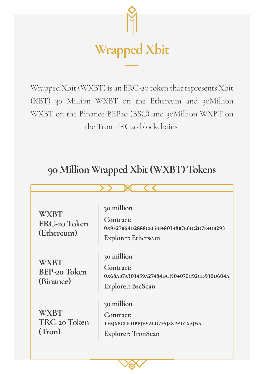

Wrapped Xbit (WXBT) is an ERC-20 token that represents Xbit (XBT) 30 Million WXBT on the Ethereum and 30Million WXBT on the Binance BEP20 (BSC) and 30Million WXBT on the Tron TRC20 blockchains.

#### **90 Million Wrapped Xbit (WXBT) Tokens**

| <b>WXBT</b><br>ERC-20 Token<br>(Ethereum) | 30 million<br>Contract:<br>0X9F27B64D2888CE15B1480348B7E61C2D7E4DB293<br><b>Explorer: Etherscan</b> |  |
|-------------------------------------------|-----------------------------------------------------------------------------------------------------|--|
| <b>WXBT</b><br>BEP-20 Token<br>(Binance)  | 30 million<br>Contract:<br>0X68AB7A303459A27484DCl504070C92CD930D604A<br><b>Explorer: BscScan</b>   |  |
| <b>WXBT</b><br>TRC-20 Token<br>(Tron)     | 30 million<br>Contract:<br>TFAJX8CLF31PPJVVZLD7F5JSXIWTCXAJWA<br><b>Explorer: TronScan</b>          |  |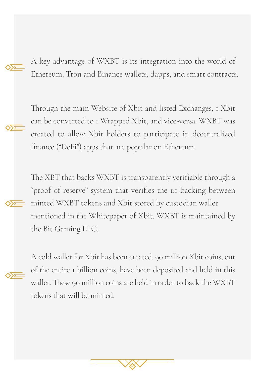Through the main website of the main website of the contract of the contract  $\frac{1}{2}$ A key advantage of WXBT is its integration into the world of Ethereum, Tron and Binance wallets, dapps, and smart contracts.

Through the main Website of Xbit and listed Exchanges, 1 Xbit can be converted to 1 Wrapped Xbit, and vice-versa. WXBT was the created to allow Xbit holders to participate in decentralized finance ("DeFi") apps that are popular on Ethereum.

The XBT that backs WXBT is transparently verifiable through the Bit Gaming LLC.  $\div$  minted WXBT tokens and Xbit stored by custodian wallet mentioned in the Whitepaper of Xbit. WXBT is maintained by the Bit Gaming LLC. The WABT of the WISC in order to back the WISC section of the WISC in order to back the WISC section of the WISC section of the WISC section of the WISC section of the WISC section of the WISC section o The XBT that backs WXBT is transparently verifiable through a "proof of reserve" system that verifies the 1:1 backing between

A cold wallet for Xbit has been created. 90 million Xbit coins, out  $\frac{1}{\sqrt{2}}$  of the entire 1 billion coins, have been deposited and held in this wallet. These 90 million coins are held in order to back the WXBT tokens that will be minted.